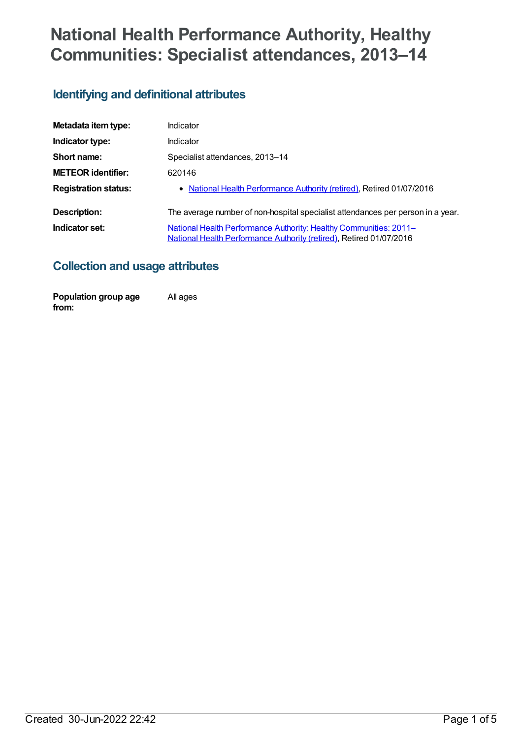# **National Health Performance Authority, Healthy Communities: Specialist attendances, 2013–14**

## **Identifying and definitional attributes**

| Metadata item type:         | Indicator                                                                                                                                |
|-----------------------------|------------------------------------------------------------------------------------------------------------------------------------------|
| Indicator type:             | Indicator                                                                                                                                |
| Short name:                 | Specialist attendances, 2013-14                                                                                                          |
| <b>METEOR identifier:</b>   | 620146                                                                                                                                   |
| <b>Registration status:</b> | • National Health Performance Authority (retired), Retired 01/07/2016                                                                    |
| Description:                | The average number of non-hospital specialist attendances per person in a year.                                                          |
| Indicator set:              | National Health Performance Authority: Healthy Communities: 2011-<br>National Health Performance Authority (retired), Retired 01/07/2016 |

### **Collection and usage attributes**

**Population group age from:** All ages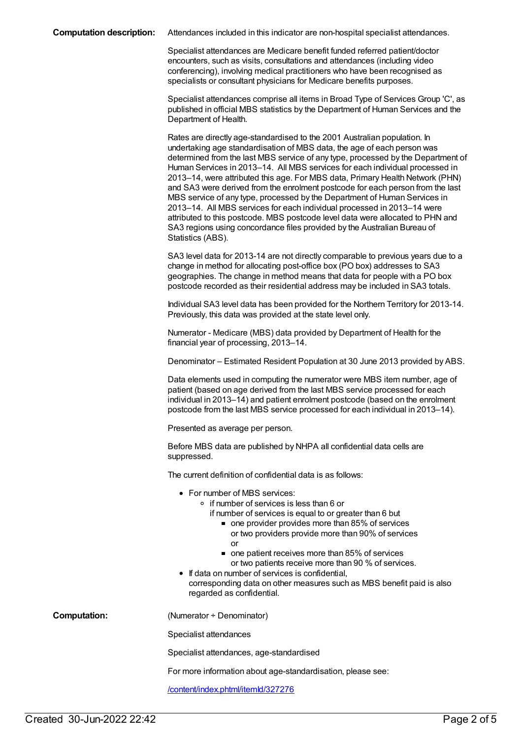Specialist attendances are Medicare benefit funded referred patient/doctor encounters, such as visits, consultations and attendances (including video conferencing), involving medical practitioners who have been recognised as specialists or consultant physicians for Medicare benefits purposes.

Specialist attendances comprise all items in Broad Type of Services Group 'C', as published in official MBS statistics by the Department of Human Services and the Department of Health.

Rates are directly age-standardised to the 2001 Australian population. In undertaking age standardisation of MBS data, the age of each person was determined from the last MBS service of any type, processed by the Department of Human Services in 2013–14. All MBS services for each individual processed in 2013–14, were attributed this age. For MBS data, Primary Health Network (PHN) and SA3 were derived from the enrolment postcode for each person from the last MBS service of any type, processed by the Department of Human Services in 2013–14. All MBS services for each individual processed in 2013–14 were attributed to this postcode. MBS postcode level data were allocated to PHN and SA3 regions using concordance files provided by the Australian Bureau of Statistics (ABS).

SA3 level data for 2013-14 are not directly comparable to previous years due to a change in method for allocating post-office box (PO box) addresses to SA3 geographies. The change in method means that data for people with a PO box postcode recorded as their residential address may be included in SA3 totals.

Individual SA3 level data has been provided for the Northern Territory for 2013-14. Previously, this data was provided at the state level only.

Numerator - Medicare (MBS) data provided by Department of Health for the financial year of processing, 2013–14.

Denominator – Estimated Resident Population at 30 June 2013 provided by ABS.

Data elements used in computing the numerator were MBS item number, age of patient (based on age derived from the last MBS service processed for each individual in 2013–14) and patient enrolment postcode (based on the enrolment postcode from the last MBS service processed for each individual in 2013–14).

Presented as average per person.

Before MBS data are published by NHPA all confidential data cells are suppressed.

The current definition of confidential data is as follows:

- For number of MBS services:
	- if number of services is less than 6 or
		- if number of services is equal to or greater than 6 but
			- one provider provides more than 85% of services or two providers provide more than 90% of services or
			- one patient receives more than 85% of services or two patients receive more than 90 % of services.
- If data on number of services is confidential. corresponding data on other measures such as MBS benefit paid is also

**Computation:** (Numerator ÷ Denominator)

Specialist attendances

Specialist attendances, age-standardised

regarded as confidential.

For more information about age-standardisation, please see:

[/content/index.phtml/itemId/327276](file:///content/327276)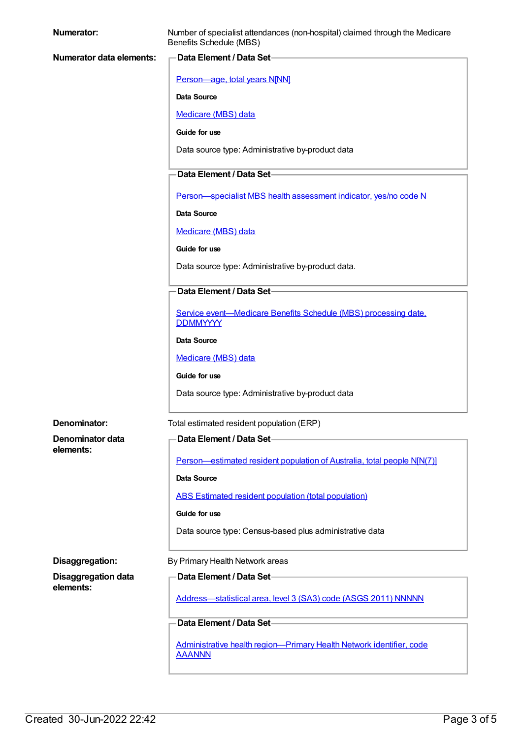| Numerator:                 | Number of specialist attendances (non-hospital) claimed through the Medicare<br>Benefits Schedule (MBS) |  |
|----------------------------|---------------------------------------------------------------------------------------------------------|--|
| Numerator data elements:   | Data Element / Data Set-                                                                                |  |
|                            | Person-age, total years N[NN]                                                                           |  |
|                            | Data Source                                                                                             |  |
|                            | Medicare (MBS) data                                                                                     |  |
|                            | Guide for use                                                                                           |  |
|                            | Data source type: Administrative by-product data                                                        |  |
|                            | Data Element / Data Set-                                                                                |  |
|                            | Person-specialist MBS health assessment indicator, yes/no code N                                        |  |
|                            | <b>Data Source</b>                                                                                      |  |
|                            | Medicare (MBS) data                                                                                     |  |
|                            | Guide for use                                                                                           |  |
|                            | Data source type: Administrative by-product data.                                                       |  |
|                            | Data Element / Data Set-                                                                                |  |
|                            | Service event-Medicare Benefits Schedule (MBS) processing date,<br><b>DDMMYYYY</b>                      |  |
|                            | Data Source                                                                                             |  |
|                            | Medicare (MBS) data                                                                                     |  |
|                            | Guide for use                                                                                           |  |
|                            | Data source type: Administrative by-product data                                                        |  |
| Denominator:               | Total estimated resident population (ERP)                                                               |  |
| Denominator data           | Data Element / Data Set-                                                                                |  |
| elements:                  | Person-estimated resident population of Australia, total people N[N(7)]                                 |  |
|                            | <b>Data Source</b>                                                                                      |  |
|                            | ABS Estimated resident population (total population)                                                    |  |
|                            | Guide for use                                                                                           |  |
|                            | Data source type: Census-based plus administrative data                                                 |  |
| Disaggregation:            | By Primary Health Network areas                                                                         |  |
| <b>Disaggregation data</b> | Data Element / Data Set-                                                                                |  |
| elements:                  |                                                                                                         |  |
|                            | Address-statistical area, level 3 (SA3) code (ASGS 2011) NNNNN                                          |  |
|                            | Data Element / Data Set-                                                                                |  |
|                            | Administrative health region-Primary Health Network identifier, code<br><b>AAANNN</b>                   |  |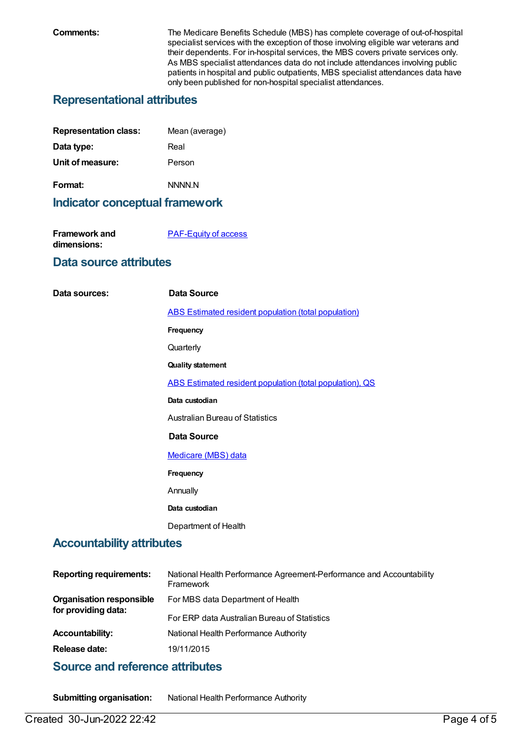**Comments:** The Medicare Benefits Schedule (MBS) has complete coverage of out-of-hospital specialist services with the exception of those involving eligible war veterans and their dependents. For in-hospital services, the MBS covers private services only. As MBS specialist attendances data do not include attendances involving public patients in hospital and public outpatients, MBS specialist attendances data have only been published for non-hospital specialist attendances.

#### **Representational attributes**

| <b>Representation class:</b> | Mean (average) |
|------------------------------|----------------|
| Data type:                   | Real           |
| Unit of measure:             | Person         |
| Format:                      | NNNN N         |

#### **Indicator conceptual framework**

| Framework and | <b>PAF-Equity of access</b> |
|---------------|-----------------------------|
| dimensions:   |                             |

#### **Data source attributes**

| Data sources:                    | <b>Data Source</b>                                       |
|----------------------------------|----------------------------------------------------------|
|                                  | ABS Estimated resident population (total population)     |
|                                  | Frequency                                                |
|                                  | Quarterly                                                |
|                                  | <b>Quality statement</b>                                 |
|                                  | ABS Estimated resident population (total population), QS |
|                                  | Data custodian                                           |
|                                  | <b>Australian Bureau of Statistics</b>                   |
|                                  | <b>Data Source</b>                                       |
|                                  | Medicare (MBS) data                                      |
|                                  | Frequency                                                |
|                                  | Annually                                                 |
|                                  | Data custodian                                           |
|                                  | Department of Health                                     |
| <b>Accountability attributes</b> |                                                          |
|                                  |                                                          |

| <b>Reporting requirements:</b>                         | National Health Performance Agreement-Performance and Accountability<br>Framework |
|--------------------------------------------------------|-----------------------------------------------------------------------------------|
| <b>Organisation responsible</b><br>for providing data: | For MBS data Department of Health                                                 |
|                                                        | For ERP data Australian Bureau of Statistics                                      |
| <b>Accountability:</b>                                 | National Health Performance Authority                                             |
| Release date:                                          | 19/11/2015                                                                        |

#### **Source and reference attributes**

**Submitting organisation:** National Health Performance Authority